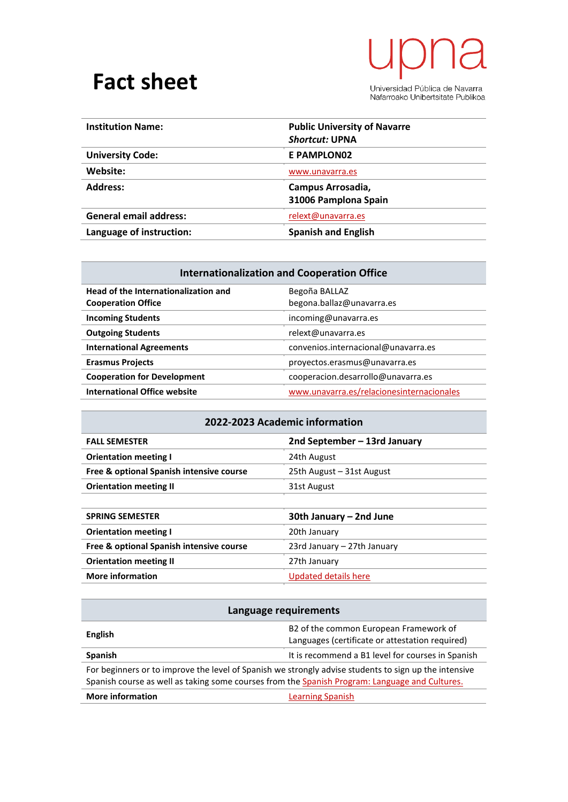## **Fact sheet**

## $\overline{\mathsf{L}}$ a ∕ ∤

Universidad Pública de Navarra<br>Nafarroako Unibertsitate Publikoa

| <b>Institution Name:</b>      | <b>Public University of Navarre</b><br><b>Shortcut: UPNA</b> |
|-------------------------------|--------------------------------------------------------------|
| <b>University Code:</b>       | E PAMPLON02                                                  |
| Website:                      | www.unavarra.es                                              |
| <b>Address:</b>               | Campus Arrosadia,<br>31006 Pamplona Spain                    |
| <b>General email address:</b> | relext@unavarra.es                                           |
| Language of instruction:      | <b>Spanish and English</b>                                   |

| <b>Internationalization and Cooperation Office</b>                |                                            |
|-------------------------------------------------------------------|--------------------------------------------|
| Head of the Internationalization and<br><b>Cooperation Office</b> | Begoña BALLAZ<br>begona.ballaz@unavarra.es |
| <b>Incoming Students</b>                                          | incoming@unavarra.es                       |
| <b>Outgoing Students</b>                                          | relext@unavarra.es                         |
| <b>International Agreements</b>                                   | convenios.internacional@unavarra.es        |
| <b>Erasmus Projects</b>                                           | provectos.erasmus@unavarra.es              |
| <b>Cooperation for Development</b>                                | cooperacion.desarrollo@unavarra.es         |
| <b>International Office website</b>                               | www.unavarra.es/relacionesinternacionales  |

| 2022-2023 Academic information |  |
|--------------------------------|--|
|--------------------------------|--|

| <b>FALL SEMESTER</b>                     | 2nd September - 13rd January |
|------------------------------------------|------------------------------|
| <b>Orientation meeting I</b>             | 24th August                  |
| Free & optional Spanish intensive course | 25th August - 31st August    |
| <b>Orientation meeting II</b>            | 31st August                  |
|                                          |                              |

| <b>SPRING SEMESTER</b>                   | 30th January – 2nd June     |
|------------------------------------------|-----------------------------|
| <b>Orientation meeting I</b>             | 20th January                |
| Free & optional Spanish intensive course | 23rd January - 27th January |
| <b>Orientation meeting II</b>            | 27th January                |
| <b>More information</b>                  | Updated details here        |

| Language requirements                                                                                                                                                                                   |                                                                                           |
|---------------------------------------------------------------------------------------------------------------------------------------------------------------------------------------------------------|-------------------------------------------------------------------------------------------|
| English                                                                                                                                                                                                 | B2 of the common European Framework of<br>Languages (certificate or attestation required) |
| <b>Spanish</b>                                                                                                                                                                                          | It is recommend a B1 level for courses in Spanish                                         |
| For beginners or to improve the level of Spanish we strongly advise students to sign up the intensive<br>Spanish course as well as taking some courses from the Spanish Program: Language and Cultures. |                                                                                           |
| <b>More information</b>                                                                                                                                                                                 | <b>Learning Spanish</b>                                                                   |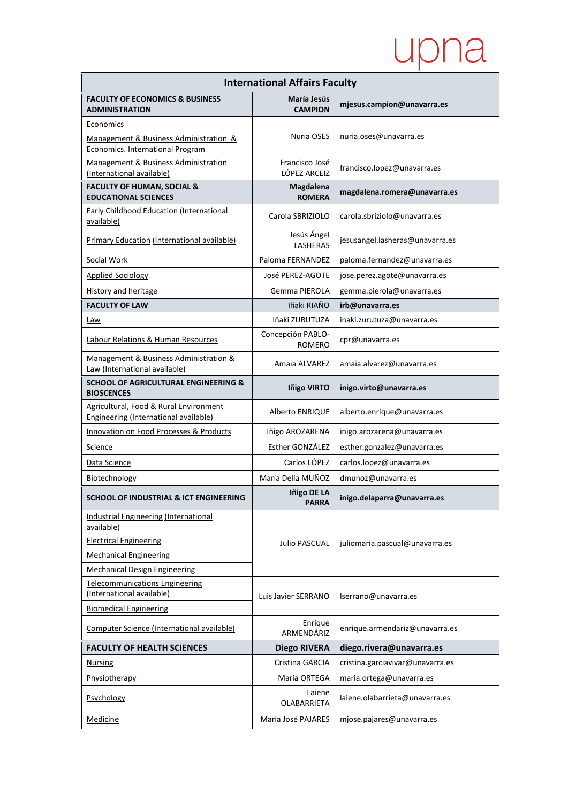## upna

| <b>International Affairs Faculty</b>                                            |                                    |                                  |  |
|---------------------------------------------------------------------------------|------------------------------------|----------------------------------|--|
| <b>FACULTY OF ECONOMICS &amp; BUSINESS</b><br><b>ADMINISTRATION</b>             | María Jesús<br><b>CAMPION</b>      | mjesus.campion@unavarra.es       |  |
| Economics                                                                       |                                    |                                  |  |
| Management & Business Administration &<br>Economics. International Program      | Nuria OSES                         | nuria.oses@unavarra.es           |  |
| Management & Business Administration<br>(International available)               | Francisco José<br>LÓPEZ ARCEIZ     | francisco.lopez@unavarra.es      |  |
| <b>FACULTY OF HUMAN, SOCIAL &amp;</b><br><b>EDUCATIONAL SCIENCES</b>            | Magdalena<br><b>ROMERA</b>         | magdalena.romera@unavarra.es     |  |
| <b>Early Childhood Education (International</b><br>available)                   | Carola SBRIZIOLO                   | carola.sbriziolo@unavarra.es     |  |
| Primary Education (International available)                                     | Jesús Ángel<br><b>LASHERAS</b>     | jesusangel.lasheras@unavarra.es  |  |
| Social Work                                                                     | Paloma FERNANDEZ                   | paloma.fernandez@unavarra.es     |  |
| <b>Applied Sociology</b>                                                        | José PEREZ-AGOTE                   | jose.perez.agote@unavarra.es     |  |
| <b>History and heritage</b>                                                     | Gemma PIEROLA                      | gemma.pierola@unavarra.es        |  |
| <b>FACULTY OF LAW</b>                                                           | Iñaki RIAÑO                        | irb@unavarra.es                  |  |
| Law                                                                             | Iñaki ZURUTUZA                     | inaki.zurutuza@unavarra.es       |  |
| Labour Relations & Human Resources                                              | Concepción PABLO-<br><b>ROMERO</b> | cpr@unavarra.es                  |  |
| Management & Business Administration &<br>Law (International available)         | Amaia ALVAREZ                      | amaia.alvarez@unavarra.es        |  |
| <b>SCHOOL OF AGRICULTURAL ENGINEERING &amp;</b><br><b>BIOSCENCES</b>            | <b>Iñigo VIRTO</b>                 | inigo.virto@unavarra.es          |  |
| Agricultural, Food & Rural Environment<br>Engineering (International available) | Alberto ENRIQUE                    | alberto.enrique@unavarra.es      |  |
| Innovation on Food Processes & Products                                         | Iñigo AROZARENA                    | inigo.arozarena@unavarra.es      |  |
| Science                                                                         | Esther GONZÁLEZ                    | esther.gonzalez@unavarra.es      |  |
| Data Science                                                                    | Carlos LÓPEZ                       | carlos.lopez@unavarra.es         |  |
| Biotechnology                                                                   | María Delia MUÑOZ                  | dmunoz@unavarra.es               |  |
| SCHOOL OF INDUSTRIAL & ICT ENGINEERING                                          | Iñigo DE LA<br><b>PARRA</b>        | inigo.delaparra@unavarra.es      |  |
| <b>Industrial Engineering (International</b><br>available)                      |                                    | juliomaria.pascual@unavarra.es   |  |
| <b>Electrical Engineering</b>                                                   | <b>Julio PASCUAL</b>               |                                  |  |
| <b>Mechanical Engineering</b>                                                   |                                    |                                  |  |
| <b>Mechanical Design Engineering</b>                                            |                                    |                                  |  |
| <b>Telecommunications Engineering</b><br>(International available)              | Luis Javier SERRANO                | lserrano@unavarra.es             |  |
| <b>Biomedical Engineering</b>                                                   |                                    |                                  |  |
| Computer Science (International available)                                      | Enrique<br>ARMENDÁRIZ              | enrique.armendariz@unavarra.es   |  |
| <b>FACULTY OF HEALTH SCIENCES</b>                                               | <b>Diego RIVERA</b>                | diego.rivera@unavarra.es         |  |
| <b>Nursing</b>                                                                  | Cristina GARCIA                    | cristina.garciavivar@unavarra.es |  |
| Physiotherapy                                                                   | María ORTEGA                       | maria.ortega@unavarra.es         |  |
| Psychology                                                                      | Laiene<br><b>OLABARRIETA</b>       | laiene.olabarrieta@unavarra.es   |  |
| Medicine                                                                        | María José PAJARES                 | mjose.pajares@unavarra.es        |  |